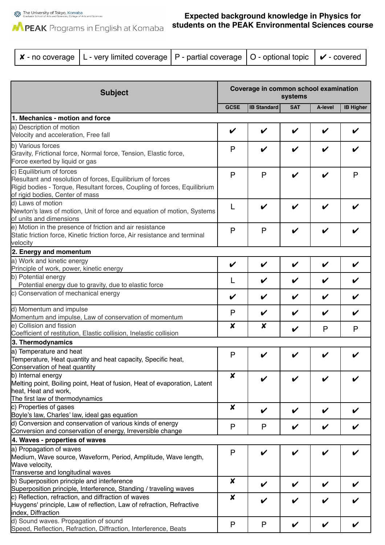The University of Tokyo, Komaba<br>Graduate School of Arts and Sciences, College of Arts and Sciences

## MPEAK Programs in English at Komaba

## **Expected background knowledge in Physics for students on the PEAK Environmental Sciences course**

| $\boldsymbol{\mathsf{x}}$ - no coverage   L - very limited coverage   P - partial coverage   O - optional topic   $\boldsymbol{\mathsf{v}}$ - covered |  |  |  |
|-------------------------------------------------------------------------------------------------------------------------------------------------------|--|--|--|
|-------------------------------------------------------------------------------------------------------------------------------------------------------|--|--|--|

| <b>Subject</b>                                                                                                                                                                                       |             | Coverage in common school examination<br>systems |                    |              |                  |
|------------------------------------------------------------------------------------------------------------------------------------------------------------------------------------------------------|-------------|--------------------------------------------------|--------------------|--------------|------------------|
|                                                                                                                                                                                                      | <b>GCSE</b> | <b>IB Standard</b>                               | <b>SAT</b>         | A-level      | <b>IB Higher</b> |
| 1. Mechanics - motion and force                                                                                                                                                                      |             |                                                  |                    |              |                  |
| a) Description of motion<br>Velocity and acceleration, Free fall                                                                                                                                     | V           | ✔                                                |                    | V            | V                |
| b) Various forces<br>Gravity, Frictional force, Normal force, Tension, Elastic force,<br>Force exerted by liquid or gas                                                                              | P           | V                                                |                    |              |                  |
| c) Equilibrium of forces<br>Resultant and resolution of forces, Equilibrium of forces<br>Rigid bodies - Torque, Resultant forces, Coupling of forces, Equilibrium<br>of rigid bodies, Center of mass |             | $\mathsf{P}$                                     | V                  | V            | P                |
| d) Laws of motion<br>Newton's laws of motion, Unit of force and equation of motion, Systems<br>of units and dimensions                                                                               |             | V                                                | $\boldsymbol{\nu}$ | V            | V                |
| e) Motion in the presence of friction and air resistance<br>Static friction force, Kinetic friction force, Air resistance and terminal<br>velocity                                                   |             | $\mathsf{P}$                                     | ✔                  | V            |                  |
| 2. Energy and momentum                                                                                                                                                                               |             |                                                  |                    |              |                  |
| a) Work and kinetic energy<br>Principle of work, power, kinetic energy                                                                                                                               | V           | V                                                |                    | V            | V                |
| b) Potential energy<br>Potential energy due to gravity, due to elastic force                                                                                                                         | L           | V                                                | V                  | V            | V                |
| c) Conservation of mechanical energy                                                                                                                                                                 | V           | V                                                |                    | V            | V                |
| d) Momentum and impulse<br>Momentum and impulse, Law of conservation of momentum                                                                                                                     | P           | V                                                |                    | V            | V                |
| e) Collision and fission<br>Coefficient of restitution, Elastic collision, Inelastic collision                                                                                                       |             | X                                                | V                  | $\mathsf{P}$ | P                |
| 3. Thermodynamics                                                                                                                                                                                    |             |                                                  |                    |              |                  |
| a) Temperature and heat<br>Temperature, Heat quantity and heat capacity, Specific heat,<br>Conservation of heat quantity                                                                             |             |                                                  |                    |              |                  |
| b) Internal energy<br>Melting point, Boiling point, Heat of fusion, Heat of evaporation, Latent<br>heat, Heat and work,                                                                              |             |                                                  |                    |              |                  |
| The first law of thermodynamics<br>c) Properties of gases<br>Boyle's law, Charles' law, ideal gas equation                                                                                           |             | V                                                |                    | V            |                  |
| d) Conversion and conservation of various kinds of energy<br>Conversion and conservation of energy, Irreversible change                                                                              | P           | P                                                |                    | V            |                  |
| 4. Waves - properties of waves                                                                                                                                                                       |             |                                                  |                    |              |                  |
| a) Propagation of waves<br>Medium, Wave source, Waveform, Period, Amplitude, Wave length,<br>Wave velocity,                                                                                          |             | V                                                |                    |              | V                |
| Transverse and longitudinal waves<br>b) Superposition principle and interference<br>Superposition principle, Interference, Standing / traveling waves                                                |             | V                                                |                    | V            | V                |
| c) Reflection, refraction, and diffraction of waves<br>Huygens' principle, Law of reflection, Law of refraction, Refractive<br>index, Diffraction                                                    | X           | V                                                |                    |              |                  |
| d) Sound waves. Propagation of sound<br>Speed, Reflection, Refraction, Diffraction, Interference, Beats                                                                                              |             | P                                                | V                  | V            |                  |